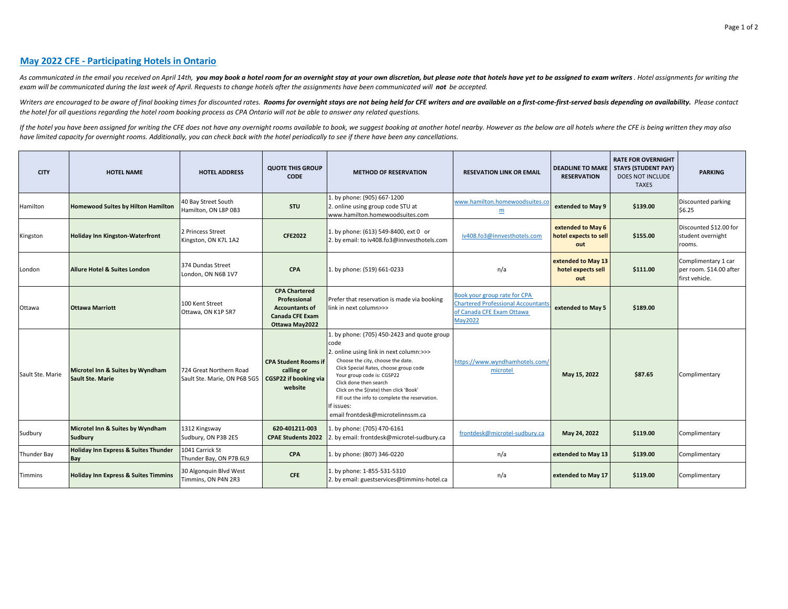## **May 2022 CFE - Participating Hotels in Ontario**

As communicated in the email you received on April 14th, you may book a hotel room for an overnight stay at your own discretion, but please note that hotels have yet to be assigned to exam writers. Hotel assignments for wr exam will be communicated during the last week of April. Requests to change hotels after the assignments have been communicated will **not** be accepted.

Writers are encouraged to be aware of final booking times for discounted rates. Rooms for overnight stays are not being held for CFE writers and are available on a first-come-first-served basis depending on availability. P *the hotel for all questions regarding the hotel room booking process as CPA Ontario will not be able to answer any related questions.*

If the hotel you have been assigned for writing the CFE does not have any overnight rooms available to book, we suggest booking at another hotel nearby. However as the below are all hotels where the CFE is being written th *have limited capacity for overnight rooms. Additionally, you can check back with the hotel periodically to see if there have been any cancellations.*

| <b>CITY</b>      | <b>HOTEL NAME</b>                                           | <b>HOTEL ADDRESS</b>                                    | <b>QUOTE THIS GROUP</b><br><b>CODE</b>                                                                    | <b>METHOD OF RESERVATION</b>                                                                                                                                                                                                                                                                                                                                                          | <b>RESEVATION LINK OR EMAIL</b>                                                                                  | <b>RESERVATION</b>                                | <b>RATE FOR OVERNIGHT</b><br><b>DEADLINE TO MAKE STAYS (STUDENT PAY)</b><br><b>DOES NOT INCLUDE</b><br><b>TAXES</b> | <b>PARKING</b>                                                   |
|------------------|-------------------------------------------------------------|---------------------------------------------------------|-----------------------------------------------------------------------------------------------------------|---------------------------------------------------------------------------------------------------------------------------------------------------------------------------------------------------------------------------------------------------------------------------------------------------------------------------------------------------------------------------------------|------------------------------------------------------------------------------------------------------------------|---------------------------------------------------|---------------------------------------------------------------------------------------------------------------------|------------------------------------------------------------------|
| Hamilton         | <b>Homewood Suites by Hilton Hamilton</b>                   | 40 Bay Street South<br>Hamilton, ON L8P 0B3             | <b>STU</b>                                                                                                | 1. by phone: (905) 667-1200<br>2. online using group code STU at<br>www.hamilton.homewoodsuites.com                                                                                                                                                                                                                                                                                   | www.hamilton.homewoodsuites.co<br>$\underline{m}$                                                                | extended to May 9                                 | \$139.00                                                                                                            | Discounted parking<br><b>S6.25</b>                               |
| Kingston         | <b>Holiday Inn Kingston-Waterfront</b>                      | 2 Princess Street<br>Kingston, ON K7L 1A2               | <b>CFE2022</b>                                                                                            | 1. by phone: (613) 549-8400, ext 0 or<br>2. by email: to iv408.fo3@innvesthotels.com                                                                                                                                                                                                                                                                                                  | iv408.fo3@innvesthotels.com                                                                                      | extended to May 6<br>hotel expects to sell<br>out | \$155.00                                                                                                            | Discounted \$12.00 for<br>student overnight<br>rooms.            |
| London           | <b>Allure Hotel &amp; Suites London</b>                     | 374 Dundas Street<br>London, ON N6B 1V7                 | <b>CPA</b>                                                                                                | 1. by phone: (519) 661-0233                                                                                                                                                                                                                                                                                                                                                           | n/a                                                                                                              | extended to May 13<br>hotel expects sell<br>out   | \$111.00                                                                                                            | Complimentary 1 car<br>per room. \$14.00 after<br>first vehicle. |
| Ottawa           | <b>Ottawa Marriott</b>                                      | 100 Kent Street<br>Ottawa, ON K1P 5R7                   | <b>CPA Chartered</b><br>Professional<br><b>Accountants of</b><br><b>Canada CFE Exam</b><br>Ottawa May2022 | Prefer that reservation is made via booking<br>link in next column>>>                                                                                                                                                                                                                                                                                                                 | Book your group rate for CPA<br><b>Chartered Professional Accountant</b><br>of Canada CFE Exam Ottawa<br>May2022 | extended to May 5                                 | \$189.00                                                                                                            |                                                                  |
| Sault Ste. Marie | Microtel Inn & Suites by Wyndham<br><b>Sault Ste. Marie</b> | 724 Great Northern Road<br>Sault Ste. Marie. ON P6B 5G5 | <b>CPA Student Rooms if</b><br>calling or<br><b>CGSP22 if booking via</b><br>website                      | 1. by phone: (705) 450-2423 and quote group<br>code<br>2. online using link in next column:>>><br>Choose the city, choose the date.<br>Click Special Rates, choose group code<br>Your group code is: CGSP22<br>Click done then search<br>Click on the \$(rate) then click 'Book'<br>Fill out the info to complete the reservation.<br>If issues:<br>email frontdesk@microtelinnssm.ca | https://www.wyndhamhotels.com/<br>microtel                                                                       | May 15, 2022                                      | \$87.65                                                                                                             | Complimentary                                                    |
| Sudbury          | Microtel Inn & Suites by Wyndham<br><b>Sudbury</b>          | 1312 Kingsway<br>Sudbury, ON P3B 2E5                    | 620-401211-003<br><b>CPAE Students 2022</b>                                                               | L. by phone: (705) 470-6161<br>2. by email: frontdesk@microtel-sudbury.ca                                                                                                                                                                                                                                                                                                             | frontdesk@microtel-sudbury.ca                                                                                    | May 24, 2022                                      | \$119.00                                                                                                            | Complimentary                                                    |
| Thunder Bay      | Holiday Inn Express & Suites Thunder<br>Bay                 | 1041 Carrick St<br>Thunder Bay, ON P7B 6L9              | <b>CPA</b>                                                                                                | 1. by phone: (807) 346-0220                                                                                                                                                                                                                                                                                                                                                           | n/a                                                                                                              | extended to May 13                                | \$139.00                                                                                                            | Complimentary                                                    |
| Timmins          | <b>Holiday Inn Express &amp; Suites Timmins</b>             | 30 Algonquin Blvd West<br>Timmins, ON P4N 2R3           | <b>CFE</b>                                                                                                | 1. by phone: 1-855-531-5310<br>2. by email: guestservices@timmins-hotel.ca                                                                                                                                                                                                                                                                                                            | n/a                                                                                                              | extended to May 17                                | \$119.00                                                                                                            | Complimentary                                                    |